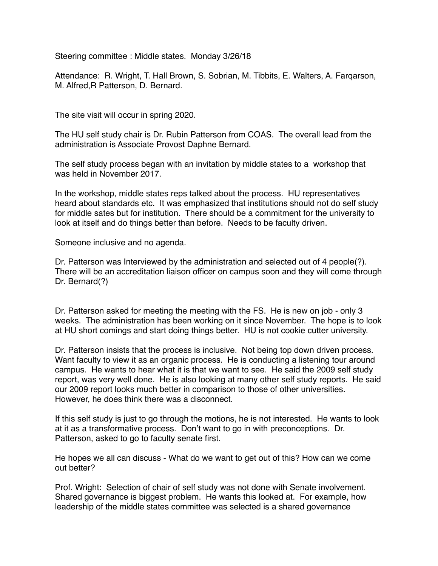Steering committee : Middle states. Monday 3/26/18

Attendance: R. Wright, T. Hall Brown, S. Sobrian, M. Tibbits, E. Walters, A. Farqarson, M. Alfred,R Patterson, D. Bernard.

The site visit will occur in spring 2020.

The HU self study chair is Dr. Rubin Patterson from COAS. The overall lead from the administration is Associate Provost Daphne Bernard.

The self study process began with an invitation by middle states to a workshop that was held in November 2017.

In the workshop, middle states reps talked about the process. HU representatives heard about standards etc. It was emphasized that institutions should not do self study for middle sates but for institution. There should be a commitment for the university to look at itself and do things better than before. Needs to be faculty driven.

Someone inclusive and no agenda.

Dr. Patterson was Interviewed by the administration and selected out of 4 people(?). There will be an accreditation liaison officer on campus soon and they will come through Dr. Bernard(?)

Dr. Patterson asked for meeting the meeting with the FS. He is new on job - only 3 weeks. The administration has been working on it since November. The hope is to look at HU short comings and start doing things better. HU is not cookie cutter university.

Dr. Patterson insists that the process is inclusive. Not being top down driven process. Want faculty to view it as an organic process. He is conducting a listening tour around campus. He wants to hear what it is that we want to see. He said the 2009 self study report, was very well done. He is also looking at many other self study reports. He said our 2009 report looks much better in comparison to those of other universities. However, he does think there was a disconnect.

If this self study is just to go through the motions, he is not interested. He wants to look at it as a transformative process. Don't want to go in with preconceptions. Dr. Patterson, asked to go to faculty senate first.

He hopes we all can discuss - What do we want to get out of this? How can we come out better?

Prof. Wright: Selection of chair of self study was not done with Senate involvement. Shared governance is biggest problem. He wants this looked at. For example, how leadership of the middle states committee was selected is a shared governance